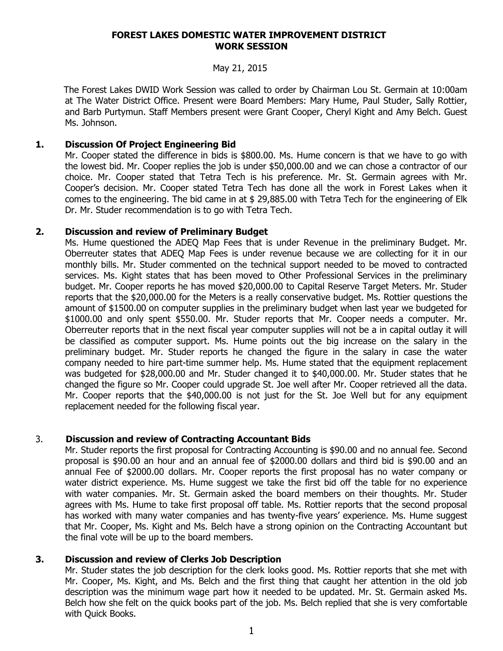#### **FOREST LAKES DOMESTIC WATER IMPROVEMENT DISTRICT WORK SESSION**

### May 21, 2015

 The Forest Lakes DWID Work Session was called to order by Chairman Lou St. Germain at 10:00am at The Water District Office. Present were Board Members: Mary Hume, Paul Studer, Sally Rottier, and Barb Purtymun. Staff Members present were Grant Cooper, Cheryl Kight and Amy Belch. Guest Ms. Johnson.

# **1. Discussion Of Project Engineering Bid**

Mr. Cooper stated the difference in bids is \$800.00. Ms. Hume concern is that we have to go with the lowest bid. Mr. Cooper replies the job is under \$50,000.00 and we can chose a contractor of our choice. Mr. Cooper stated that Tetra Tech is his preference. Mr. St. Germain agrees with Mr. Cooper's decision. Mr. Cooper stated Tetra Tech has done all the work in Forest Lakes when it comes to the engineering. The bid came in at \$ 29,885.00 with Tetra Tech for the engineering of Elk Dr. Mr. Studer recommendation is to go with Tetra Tech.

# **2. Discussion and review of Preliminary Budget**

Ms. Hume questioned the ADEQ Map Fees that is under Revenue in the preliminary Budget. Mr. Oberreuter states that ADEQ Map Fees is under revenue because we are collecting for it in our monthly bills. Mr. Studer commented on the technical support needed to be moved to contracted services. Ms. Kight states that has been moved to Other Professional Services in the preliminary budget. Mr. Cooper reports he has moved \$20,000.00 to Capital Reserve Target Meters. Mr. Studer reports that the \$20,000.00 for the Meters is a really conservative budget. Ms. Rottier questions the amount of \$1500.00 on computer supplies in the preliminary budget when last year we budgeted for \$1000.00 and only spent \$550.00. Mr. Studer reports that Mr. Cooper needs a computer. Mr. Oberreuter reports that in the next fiscal year computer supplies will not be a in capital outlay it will be classified as computer support. Ms. Hume points out the big increase on the salary in the preliminary budget. Mr. Studer reports he changed the figure in the salary in case the water company needed to hire part-time summer help. Ms. Hume stated that the equipment replacement was budgeted for \$28,000.00 and Mr. Studer changed it to \$40,000.00. Mr. Studer states that he changed the figure so Mr. Cooper could upgrade St. Joe well after Mr. Cooper retrieved all the data. Mr. Cooper reports that the \$40,000.00 is not just for the St. Joe Well but for any equipment replacement needed for the following fiscal year.

# 3. **Discussion and review of Contracting Accountant Bids**

Mr. Studer reports the first proposal for Contracting Accounting is \$90.00 and no annual fee. Second proposal is \$90.00 an hour and an annual fee of \$2000.00 dollars and third bid is \$90.00 and an annual Fee of \$2000.00 dollars. Mr. Cooper reports the first proposal has no water company or water district experience. Ms. Hume suggest we take the first bid off the table for no experience with water companies. Mr. St. Germain asked the board members on their thoughts. Mr. Studer agrees with Ms. Hume to take first proposal off table. Ms. Rottier reports that the second proposal has worked with many water companies and has twenty-five years' experience. Ms. Hume suggest that Mr. Cooper, Ms. Kight and Ms. Belch have a strong opinion on the Contracting Accountant but the final vote will be up to the board members.

# **3. Discussion and review of Clerks Job Description**

Mr. Studer states the job description for the clerk looks good. Ms. Rottier reports that she met with Mr. Cooper, Ms. Kight, and Ms. Belch and the first thing that caught her attention in the old job description was the minimum wage part how it needed to be updated. Mr. St. Germain asked Ms. Belch how she felt on the quick books part of the job. Ms. Belch replied that she is very comfortable with Quick Books.